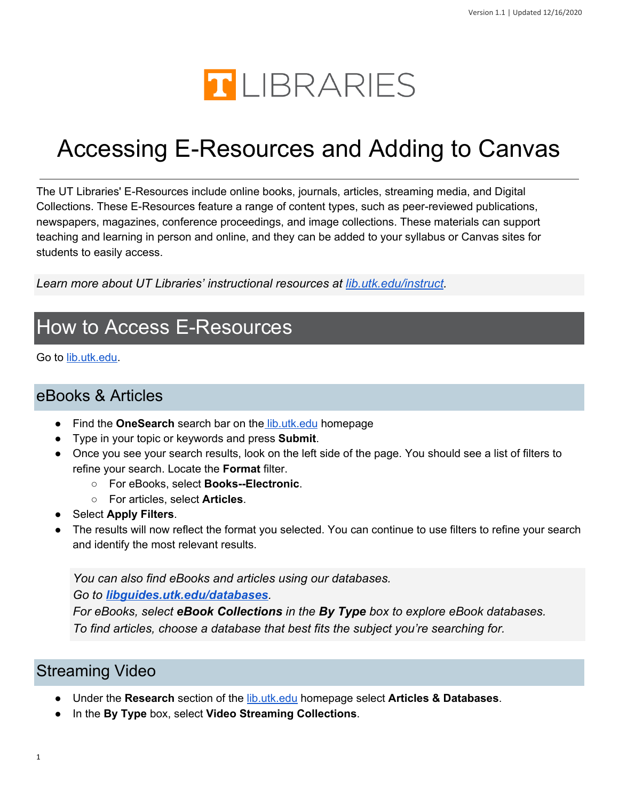

# Accessing E-Resources and Adding to Canvas

 The UT Libraries' E-Resources include online books, journals, articles, streaming media, and Digital Collections. These E-Resources feature a range of content types, such as peer-reviewed publications, newspapers, magazines, conference proceedings, and image collections. These materials can support teaching and learning in person and online, and they can be added to your syllabus or Canvas sites for students to easily access.

Learn more about UT Libraries' instructional resources at *[lib.utk.edu/instruct.](https://www.lib.utk.edu/instruct/)* 

### How to Access E-Resources

Go to <u>[lib.utk.edu](https://lib.utk.edu/)</u>.

#### eBooks & Articles

- Find the **OneSearch** search bar on the [lib.utk.edu](https://lib.utk.edu/) homepage
- Type in your topic or keywords and press **Submit**.
- ● Once you see your search results, look on the left side of the page. You should see a list of filters to refine your search. Locate the **Format** filter.
	- For eBooks, select **Books--Electronic**.
	- For articles, select **Articles**.
- Select **Apply Filters**.
- ● The results will now reflect the format you selected. You can continue to use filters to refine your search and identify the most relevant results.

*You can also find eBooks and articles using our databases. Go to [libguides.utk.edu/databases](https://libguides.utk.edu/databases).*

*For eBooks, select eBook Collections in the By Type box to explore eBook databases. To find articles, choose a database that best fits the subject you're searching for.*

#### Streaming Video

- Under the **Research** section of the [lib.utk.edu](https://www.lib.utk.edu/) homepage select **Articles & Databases**.
- In the **By Type** box, select **Video Streaming Collections**.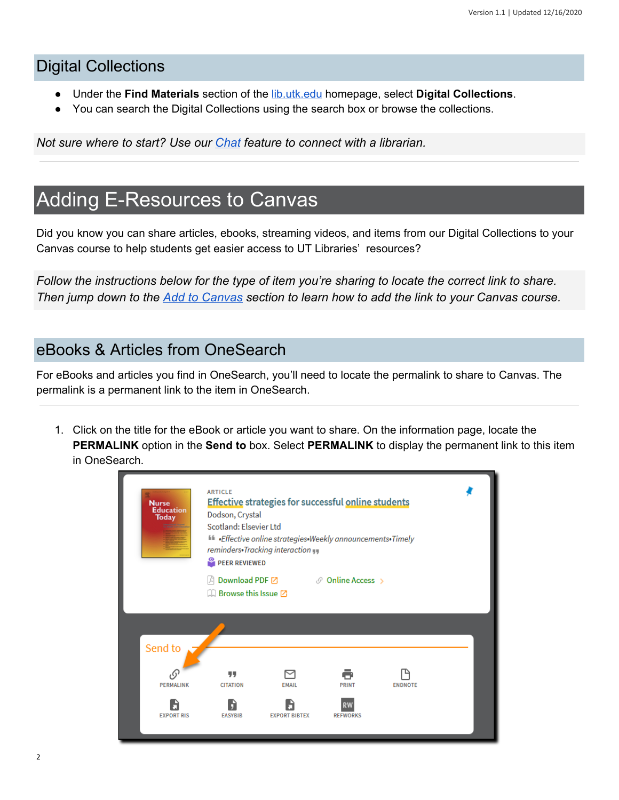#### Digital Collections

- Under the **Find Materials** section of the [lib.utk.edu](https://www.lib.utk.edu/) homepage, select **Digital Collections**.
- You can search the Digital Collections using the search box or browse the collections.

*Not sure where to start? Use our [Chat](https://lib.utk.edu/askusnow) feature to connect with a librarian.*

### Adding E-Resources to Canvas

 Did you know you can share articles, ebooks, streaming videos, and items from our Digital Collections to your Canvas course to help students get easier access to UT Libraries' resources?

*Follow the instructions below for the type of item you're sharing to locate the correct link to share. Then jump down to the [Add to Canvas](#page-3-0) section to learn how to add the link to your Canvas course.*

#### eBooks & Articles from OneSearch

 For eBooks and articles you find in OneSearch, you'll need to locate the permalink to share to Canvas. The permalink is a permanent link to the item in OneSearch.

 1. Click on the title for the eBook or article you want to share. On the information page, locate the **PERMALINK** option in the **Send to** box. Select **PERMALINK** to display the permanent link to this item in OneSearch.

| <b>Nurse</b><br><b>Education</b><br><b>Today</b> | <b>ARTICLE</b><br><b>Effective strategies for successful online students</b><br>Dodson, Crystal<br>Scotland: Elsevier Ltd<br>Effective online strategies. Weekly announcements. Timely<br>reminders. Tracking interaction<br>PEER REVIEWED<br>Download PDF ⊠ ∴ © Online Access ><br>$\Box$ Browse this Issue $\Box$ |                                      |                                              |                |  |
|--------------------------------------------------|---------------------------------------------------------------------------------------------------------------------------------------------------------------------------------------------------------------------------------------------------------------------------------------------------------------------|--------------------------------------|----------------------------------------------|----------------|--|
| Send to<br>PERMALINK<br><b>EXPORT RIS</b>        | 99<br><b>CITATION</b><br><b>EASYBIB</b>                                                                                                                                                                                                                                                                             | <b>EMAIL</b><br><b>EXPORT BIBTEX</b> | <b>PRINT</b><br><b>RW</b><br><b>REFWORKS</b> | <b>ENDNOTE</b> |  |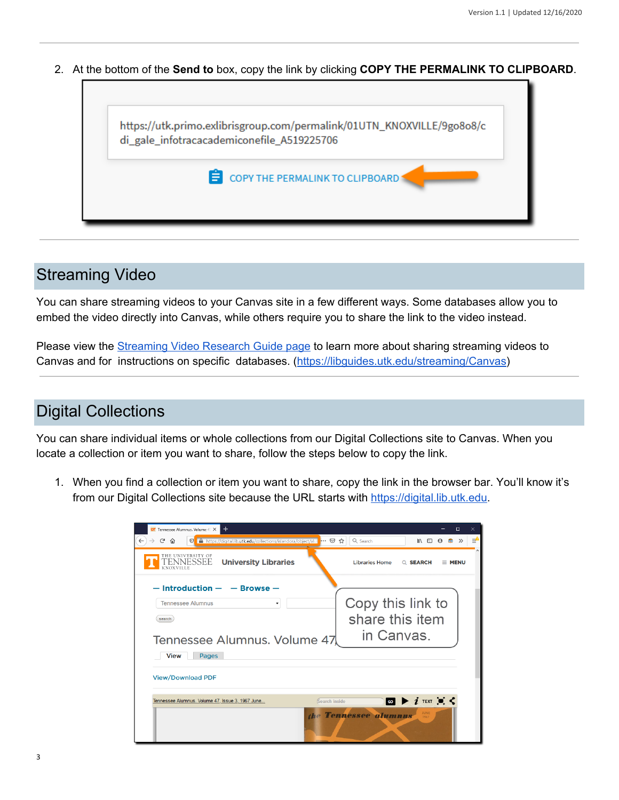2. At the bottom of the **Send to** box, copy the link by clicking **COPY THE PERMALINK TO CLIPBOARD**.



#### Streaming Video

 You can share streaming videos to your Canvas site in a few different ways. Some databases allow you to embed the video directly into Canvas, while others require you to share the link to the video instead.

Please view the **[Streaming](https://libguides.utk.edu/streaming/Canvas) Video Research Guide page** to learn more about sharing streaming videos to Canvas and for instructions on specific databases. ([https://libguides.utk.edu/streaming/Canvas\)](https://libguides.utk.edu/streaming/Canvas)

#### Digital Collections

 You can share individual items or whole collections from our Digital Collections site to Canvas. When you locate a collection or item you want to share, follow the steps below to copy the link.

 1. When you find a collection or item you want to share, copy the link in the browser bar. You'll know it's from our Digital Collections site because the URL starts with [https://digital.lib.utk.edu.](https://digital.lib.utk.edu/)

| $\pm$<br>UT Tennessee Alumnus. Volume 47 X                                                      |                                                     | $\Box$<br>$\times$ |
|-------------------------------------------------------------------------------------------------|-----------------------------------------------------|--------------------|
| $\rightarrow$ $e$<br>… ⊙ ☆<br>仚<br>https://digital.lib.utk.edu/collections/islandora/object/alu | Q Search<br>心 仙                                     | Ξ<br>$\gg$         |
| THE UNIVERSITY OF<br>ENNESSEE<br><b>University Libraries</b><br>KNOXVILLE                       | <b>Libraries Home</b><br>Q SEARCH                   | $\equiv$ MENU      |
| $-$ Introduction $ -$ Browse $-$                                                                |                                                     |                    |
| <b>Tennessee Alumnus</b>                                                                        | Copy this link to                                   |                    |
| search                                                                                          | share this item                                     |                    |
| Tennessee Alumnus. Volume 47                                                                    | in Canvas.                                          |                    |
| <b>View</b><br>Pages                                                                            |                                                     |                    |
| <b>View/Download PDF</b>                                                                        |                                                     |                    |
| Tennessee Alumnus, Volume 47, Issue 3, 1967 June<br>(Search inside                              | $\omega$ $\triangleright$ $i$ text $\omega$ $\prec$ |                    |
|                                                                                                 | JUNE<br>e Tennessee alumnus<br>1967                 |                    |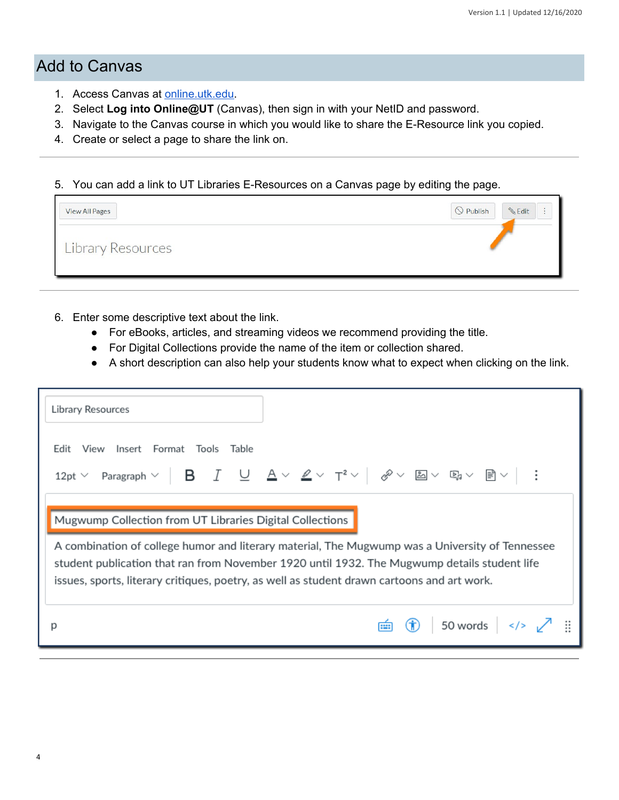#### <span id="page-3-0"></span>Add to Canvas

- 1. Access Canvas at **online.utk.edu**.
- 2. Select **Log into Online@UT** (Canvas), then sign in with your NetID and password.
- 3. Navigate to the Canvas course in which you would like to share the E-Resource link you copied.
- 4. Create or select a page to share the link on.

5. You can add a link to UT Libraries E-Resources on a Canvas page by editing the page.

| View All Pages           | $\bigcirc$ Publish<br><b>&amp;Edit</b> |
|--------------------------|----------------------------------------|
| <b>Library Resources</b> |                                        |

- 6. Enter some descriptive text about the link.
	- For eBooks, articles, and streaming videos we recommend providing the title.
	- For Digital Collections provide the name of the item or collection shared.
	- A short description can also help your students know what to expect when clicking on the link.

| Library Resources                                                                                                                                                                                                                                                                                                                                                                |                                           |
|----------------------------------------------------------------------------------------------------------------------------------------------------------------------------------------------------------------------------------------------------------------------------------------------------------------------------------------------------------------------------------|-------------------------------------------|
| View Insert Format Tools Table<br>Fdit                                                                                                                                                                                                                                                                                                                                           |                                           |
| 12pt $\vee$ Paragraph $\vee$   <b>B</b> $\begin{array}{ c c c c }\hline\end{array}$ <b>B</b> $\vee$ $\begin{array}{ c c c c }\hline\end{array}$ <b>B</b> $\vee$ $\begin{array}{ c c c }\hline\end{array}$ $\mathbb{R}$ $\vee$ $\begin{array}{ c c c }\hline\end{array}$ <b>B</b> $\vee$ $\begin{array}{ c c c }\hline\end{array}$ <b>B</b> $\vee$ $\begin{array}{ c c c }\hline$ |                                           |
| Mugwump Collection from UT Libraries Digital Collections                                                                                                                                                                                                                                                                                                                         |                                           |
| A combination of college humor and literary material, The Mugwump was a University of Tennessee<br>student publication that ran from November 1920 until 1932. The Mugwump details student life<br>issues, sports, literary critiques, poetry, as well as student drawn cartoons and art work.                                                                                   |                                           |
| D                                                                                                                                                                                                                                                                                                                                                                                | $\overline{m}$ (i) 50 words $\sqrt{ }$ :: |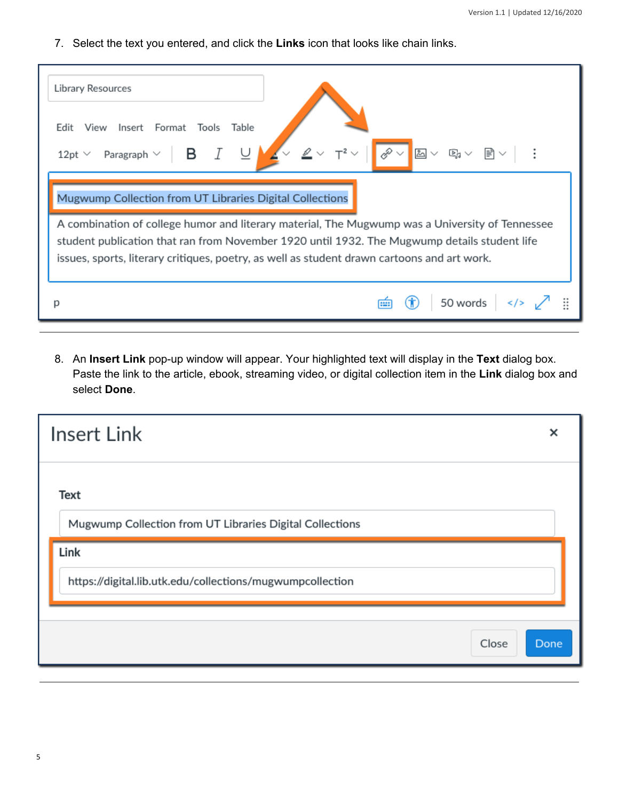7. Select the text you entered, and click the **Links** icon that looks like chain links.

| Library Resources                                                                                                                                                                                                                                                                              |   |
|------------------------------------------------------------------------------------------------------------------------------------------------------------------------------------------------------------------------------------------------------------------------------------------------|---|
| Insert Format Tools<br>Fdit<br>View<br>Table<br>& v<br>$\boxed{5}$ $\vee$ B <sub>1</sub> $\vee$ B <sub>1</sub> $\vee$ B <sub>1</sub><br>- в<br>Paragraph $\vee$<br>12pt $\vee$                                                                                                                 |   |
| Mugwump Collection from UT Libraries Digital Collections                                                                                                                                                                                                                                       |   |
| A combination of college humor and literary material, The Mugwump was a University of Tennessee<br>student publication that ran from November 1920 until 1932. The Mugwump details student life<br>issues, sports, literary critiques, poetry, as well as student drawn cartoons and art work. |   |
| 50 words<br>$\langle$ /> $\sqrt{2}$<br>m                                                                                                                                                                                                                                                       | ∷ |

 8. An **Insert Link** pop-up window will appear. Your highlighted text will display in the **Text** dialog box. Paste the link to the article, ebook, streaming video, or digital collection item in the **Link** dialog box and select **Done**.

| <b>Insert Link</b>                                                      | ×    |
|-------------------------------------------------------------------------|------|
| <b>Text</b><br>Mugwump Collection from UT Libraries Digital Collections |      |
| Link<br>https://digital.lib.utk.edu/collections/mugwumpcollection       |      |
| Close                                                                   | Done |